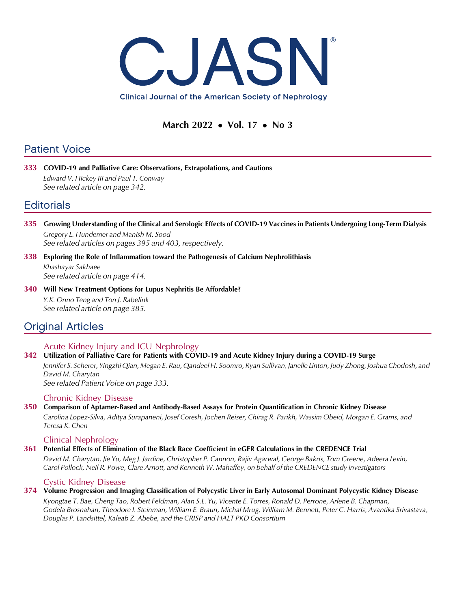

# March 2022 • Vol. 17 • No 3

# Patient Voice

333 COVID-19 and Palliative Care: Observations, Extrapolations, and Cautions Edward V. Hickey III and Paul T. Conway See related article on page 342.

# **Editorials**

- 335 Growing Understanding of the Clinical and Serologic Effects of COVID-19 Vaccines in Patients Undergoing Long-Term Dialysis Gregory L. Hundemer and Manish M. Sood See related articles on pages 395 and 403, respectively.
- 338 Exploring the Role of Inflammation toward the Pathogenesis of Calcium Nephrolithiasis Khashayar Sakhaee See related article on page 414.
- 340 Will New Treatment Options for Lupus Nephritis Be Affordable? Y.K. Onno Teng and Ton J. Rabelink See related article on page 385.

# Original Articles

## Acute Kidney Injury and ICU Nephrology

## 342 Utilization of Palliative Care for Patients with COVID-19 and Acute Kidney Injury during a COVID-19 Surge

Jennifer S. Scherer, Yingzhi Qian, Megan E. Rau, Qandeel H. Soomro, Ryan Sullivan, Janelle Linton, Judy Zhong, Joshua Chodosh, and David M. Charytan

See related Patient Voice on page 333.

## Chronic Kidney Disease

# 350 Comparison of Aptamer-Based and Antibody-Based Assays for Protein Quantification in Chronic Kidney Disease

Carolina Lopez-Silva, Aditya Surapaneni, Josef Coresh, Jochen Reiser, Chirag R. Parikh, Wassim Obeid, Morgan E. Grams, and Teresa K. Chen

## Clinical Nephrology

## 361 Potential Effects of Elimination of the Black Race Coefficient in eGFR Calculations in the CREDENCE Trial

David M. Charytan, Jie Yu, Meg J. Jardine, Christopher P. Cannon, Rajiv Agarwal, George Bakris, Tom Greene, Adeera Levin, Carol Pollock, Neil R. Powe, Clare Arnott, and Kenneth W. Mahaffey, on behalf of the CREDENCE study investigators

### Cystic Kidney Disease

### 374 Volume Progression and Imaging Classification of Polycystic Liver in Early Autosomal Dominant Polycystic Kidney Disease Kyongtae T. Bae, Cheng Tao, Robert Feldman, Alan S.L. Yu, Vicente E. Torres, Ronald D. Perrone, Arlene B. Chapman, Godela Brosnahan, Theodore I. Steinman, William E. Braun, Michal Mrug, William M. Bennett, Peter C. Harris, Avantika Srivastava, Douglas P. Landsittel, Kaleab Z. Abebe, and the CRISP and HALT PKD Consortium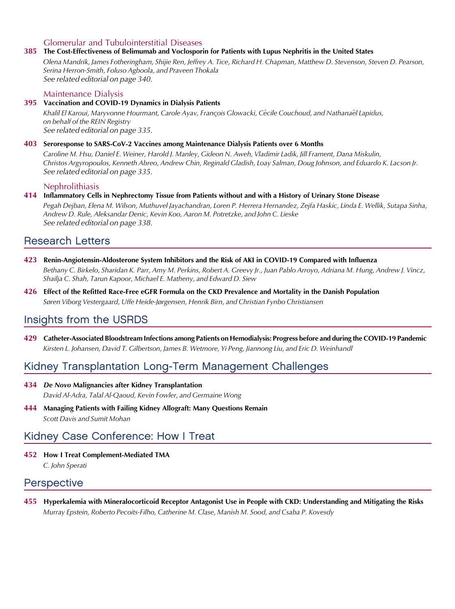### Glomerular and Tubulointerstitial Diseases

#### 385 The Cost-Effectiveness of Belimumab and Voclosporin for Patients with Lupus Nephritis in the United States

Olena Mandrik, James Fotheringham, Shijie Ren, Jeffrey A. Tice, Richard H. Chapman, Matthew D. Stevenson, Steven D. Pearson, Serina Herron-Smith, Foluso Agboola, and Praveen Thokala See related editorial on page 340.

#### Maintenance Dialysis

#### 395 Vaccination and COVID-19 Dynamics in Dialysis Patients

Khalil El Karoui, Maryvonne Hourmant, Carole Ayav, François Glowacki, Cécile Couchoud, and Nathanaël Lapidus, on behalf of the REIN Registry See related editorial on page 335.

#### 403 Seroresponse to SARS-CoV-2 Vaccines among Maintenance Dialysis Patients over 6 Months

Caroline M. Hsu, Daniel E. Weiner, Harold J. Manley, Gideon N. Aweh, Vladimir Ladik, Jill Frament, Dana Miskulin, Christos Argyropoulos, Kenneth Abreo, Andrew Chin, Reginald Gladish, Loay Salman, Doug Johnson, and Eduardo K. Lacson Jr. See related editorial on page 335.

#### Nephrolithiasis

#### 414 Inflammatory Cells in Nephrectomy Tissue from Patients without and with a History of Urinary Stone Disease

Pegah Dejban, Elena M. Wilson, Muthuvel Jayachandran, Loren P. Herrera Hernandez, Zejfa Haskic, Linda E. Wellik, Sutapa Sinha, Andrew D. Rule, Aleksandar Denic, Kevin Koo, Aaron M. Potretzke, and John C. Lieske See related editorial on page 338.

# Research Letters

- 423 Renin-Angiotensin-Aldosterone System Inhibitors and the Risk of AKI in COVID-19 Compared with Influenza Bethany C. Birkelo, Sharidan K. Parr, Amy M. Perkins, Robert A. Greevy Jr., Juan Pablo Arroyo, Adriana M. Hung, Andrew J. Vincz, Shailja C. Shah, Tarun Kapoor, Michael E. Matheny, and Edward D. Siew
- 426 Effect of the Refitted Race-Free eGFR Formula on the CKD Prevalence and Mortality in the Danish Population Søren Viborg Vestergaard, Uffe Heide-Jørgensen, Henrik Birn, and Christian Fynbo Christiansen

# Insights from the USRDS

429 Catheter-Associated Bloodstream Infections among Patients on Hemodialysis: Progress before and during the COVID-19 Pandemic Kirsten L. Johansen, David T. Gilbertson, James B. Wetmore, Yi Peng, Jiannong Liu, and Eric D. Weinhandl

# Kidney Transplantation Long-Term Management Challenges

- 434 De Novo Malignancies after Kidney Transplantation David Al-Adra, Talal Al-Qaoud, Kevin Fowler, and Germaine Wong
- 444 Managing Patients with Failing Kidney Allograft: Many Questions Remain Scott Davis and Sumit Mohan

# Kidney Case Conference: How I Treat

452 How I Treat Complement-Mediated TMA

C. John Sperati

## **Perspective**

455 Hyperkalemia with Mineralocorticoid Receptor Antagonist Use in People with CKD: Understanding and Mitigating the Risks Murray Epstein, Roberto Pecoits-Filho, Catherine M. Clase, Manish M. Sood, and Csaba P. Kovesdy